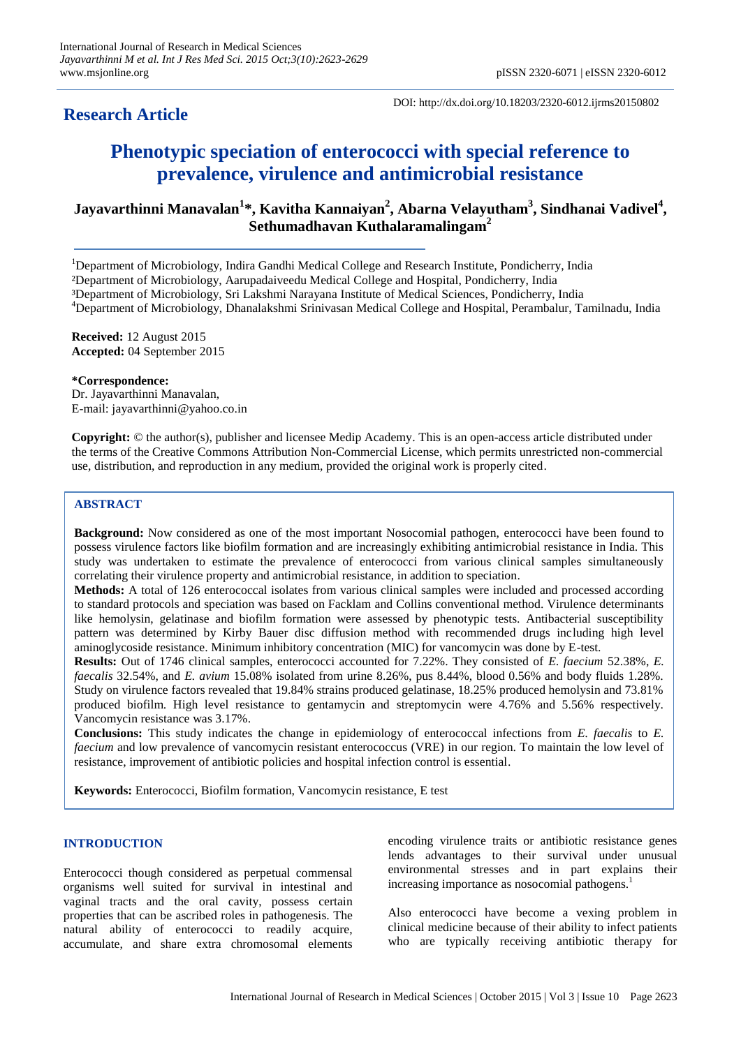# **Research Article**

DOI: http://dx.doi.org/10.18203/2320-6012.ijrms20150802

# **Phenotypic speciation of enterococci with special reference to prevalence, virulence and antimicrobial resistance**

## **Jayavarthinni Manavalan<sup>1</sup> \*, Kavitha Kannaiyan<sup>2</sup> , Abarna Velayutham<sup>3</sup> , Sindhanai Vadivel<sup>4</sup> , Sethumadhavan Kuthalaramalingam<sup>2</sup>**

<sup>1</sup>Department of Microbiology, Indira Gandhi Medical College and Research Institute, Pondicherry, India ²Department of Microbiology, Aarupadaiveedu Medical College and Hospital, Pondicherry, India ³Department of Microbiology, Sri Lakshmi Narayana Institute of Medical Sciences, Pondicherry, India <sup>4</sup>Department of Microbiology, Dhanalakshmi Srinivasan Medical College and Hospital, Perambalur, Tamilnadu, India

**Received:** 12 August 2015 **Accepted:** 04 September 2015

**\*Correspondence:** Dr. Jayavarthinni Manavalan, E-mail: jayavarthinni@yahoo.co.in

**Copyright:** © the author(s), publisher and licensee Medip Academy. This is an open-access article distributed under the terms of the Creative Commons Attribution Non-Commercial License, which permits unrestricted non-commercial use, distribution, and reproduction in any medium, provided the original work is properly cited.

## **ABSTRACT**

**Background:** Now considered as one of the most important Nosocomial pathogen, enterococci have been found to possess virulence factors like biofilm formation and are increasingly exhibiting antimicrobial resistance in India. This study was undertaken to estimate the prevalence of enterococci from various clinical samples simultaneously correlating their virulence property and antimicrobial resistance, in addition to speciation.

**Methods:** A total of 126 enterococcal isolates from various clinical samples were included and processed according to standard protocols and speciation was based on Facklam and Collins conventional method. Virulence determinants like hemolysin, gelatinase and biofilm formation were assessed by phenotypic tests. Antibacterial susceptibility pattern was determined by Kirby Bauer disc diffusion method with recommended drugs including high level aminoglycoside resistance. Minimum inhibitory concentration (MIC) for vancomycin was done by E-test.

**Results:** Out of 1746 clinical samples, enterococci accounted for 7.22%. They consisted of *E. faecium* 52.38%, *E. faecalis* 32.54%, and *E. avium* 15.08% isolated from urine 8.26%, pus 8.44%, blood 0.56% and body fluids 1.28%. Study on virulence factors revealed that 19.84% strains produced gelatinase, 18.25% produced hemolysin and 73.81% produced biofilm. High level resistance to gentamycin and streptomycin were 4.76% and 5.56% respectively. Vancomycin resistance was 3.17%.

**Conclusions:** This study indicates the change in epidemiology of enterococcal infections from *E. faecalis* to *E. faecium* and low prevalence of vancomycin resistant enterococcus (VRE) in our region. To maintain the low level of resistance, improvement of antibiotic policies and hospital infection control is essential.

**Keywords:** Enterococci, Biofilm formation, Vancomycin resistance, E test

## **INTRODUCTION**

Enterococci though considered as perpetual commensal organisms well suited for survival in intestinal and vaginal tracts and the oral cavity, possess certain properties that can be ascribed roles in pathogenesis. The natural ability of enterococci to readily acquire, accumulate, and share extra chromosomal elements encoding virulence traits or antibiotic resistance genes lends advantages to their survival under unusual environmental stresses and in part explains their increasing importance as nosocomial pathogens.<sup>1</sup>

Also enterococci have become a vexing problem in clinical medicine because of their ability to infect patients who are typically receiving antibiotic therapy for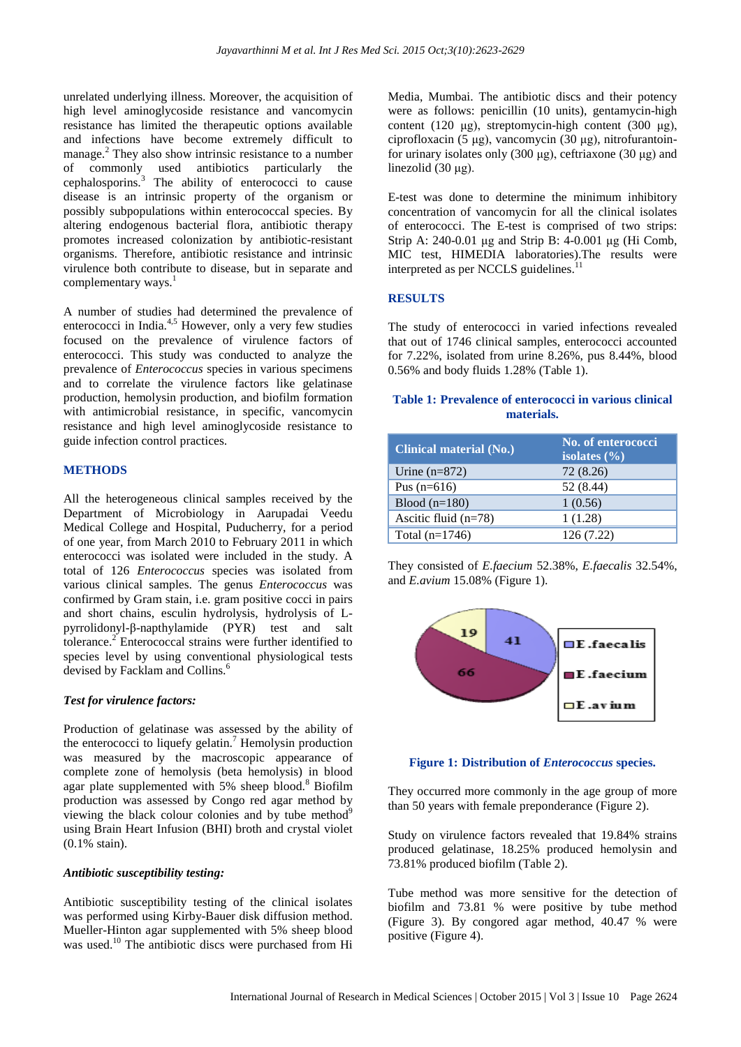unrelated underlying illness. Moreover, the acquisition of high level aminoglycoside resistance and vancomycin resistance has limited the therapeutic options available and infections have become extremely difficult to manage.<sup>2</sup> They also show intrinsic resistance to a number of commonly used antibiotics particularly the cephalosporins.<sup>3</sup> The ability of enterococci to cause disease is an intrinsic property of the organism or possibly subpopulations within enterococcal species. By altering endogenous bacterial flora, antibiotic therapy promotes increased colonization by antibiotic-resistant organisms. Therefore, antibiotic resistance and intrinsic virulence both contribute to disease, but in separate and complementary ways. $<sup>1</sup>$ </sup>

A number of studies had determined the prevalence of enterococci in India.<sup>4,5</sup> However, only a very few studies focused on the prevalence of virulence factors of enterococci. This study was conducted to analyze the prevalence of *Enterococcus* species in various specimens and to correlate the virulence factors like gelatinase production, hemolysin production, and biofilm formation with antimicrobial resistance, in specific, vancomycin resistance and high level aminoglycoside resistance to guide infection control practices.

## **METHODS**

All the heterogeneous clinical samples received by the Department of Microbiology in Aarupadai Veedu Medical College and Hospital, Puducherry, for a period of one year, from March 2010 to February 2011 in which enterococci was isolated were included in the study. A total of 126 *Enterococcus* species was isolated from various clinical samples. The genus *Enterococcus* was confirmed by Gram stain, i.e. gram positive cocci in pairs and short chains, esculin hydrolysis, hydrolysis of Lpyrrolidonyl-β-napthylamide (PYR) test and salt tolerance.<sup>2</sup> Enterococcal strains were further identified to species level by using conventional physiological tests devised by Facklam and Collins.<sup>6</sup>

## *Test for virulence factors:*

Production of gelatinase was assessed by the ability of the enterococci to liquefy gelatin.<sup>7</sup> Hemolysin production was measured by the macroscopic appearance of complete zone of hemolysis (beta hemolysis) in blood agar plate supplemented with 5% sheep blood.<sup>8</sup> Biofilm production was assessed by Congo red agar method by viewing the black colour colonies and by tube method $9$ using Brain Heart Infusion (BHI) broth and crystal violet (0.1% stain).

## *Antibiotic susceptibility testing:*

Antibiotic susceptibility testing of the clinical isolates was performed using Kirby-Bauer disk diffusion method. Mueller-Hinton agar supplemented with 5% sheep blood was used.<sup>10</sup> The antibiotic discs were purchased from Hi Media, Mumbai. The antibiotic discs and their potency were as follows: penicillin (10 units), gentamycin-high content (120 μg), streptomycin-high content (300 μg), ciprofloxacin (5 μg), vancomycin (30 μg), nitrofurantoinfor urinary isolates only (300 μg), ceftriaxone (30 μg) and linezolid (30 μg).

E-test was done to determine the minimum inhibitory concentration of vancomycin for all the clinical isolates of enterococci. The E-test is comprised of two strips: Strip A: 240-0.01 μg and Strip B: 4-0.001 μg (Hi Comb, MIC test, HIMEDIA laboratories).The results were interpreted as per NCCLS guidelines.<sup>11</sup>

## **RESULTS**

The study of enterococci in varied infections revealed that out of 1746 clinical samples, enterococci accounted for 7.22%, isolated from urine 8.26%, pus 8.44%, blood 0.56% and body fluids 1.28% (Table 1).

## **Table 1: Prevalence of enterococci in various clinical materials.**

| <b>Clinical material (No.)</b> | No. of enterococci<br>isolates $(\% )$ |
|--------------------------------|----------------------------------------|
| Urine $(n=872)$                | 72 (8.26)                              |
| Pus $(n=616)$                  | 52 (8.44)                              |
| Blood $(n=180)$                | 1(0.56)                                |
| Ascitic fluid $(n=78)$         | 1(1.28)                                |
| Total $(n=1746)$               | 126 (7.22)                             |

They consisted of *E.faecium* 52.38%, *E.faecalis* 32.54%, and *E.avium* 15.08% (Figure 1).



**Figure 1: Distribution of** *Enterococcus* **species.**

They occurred more commonly in the age group of more than 50 years with female preponderance (Figure 2).

Study on virulence factors revealed that 19.84% strains produced gelatinase, 18.25% produced hemolysin and 73.81% produced biofilm (Table 2).

Tube method was more sensitive for the detection of biofilm and 73.81 % were positive by tube method (Figure 3). By congored agar method, 40.47 % were positive (Figure 4).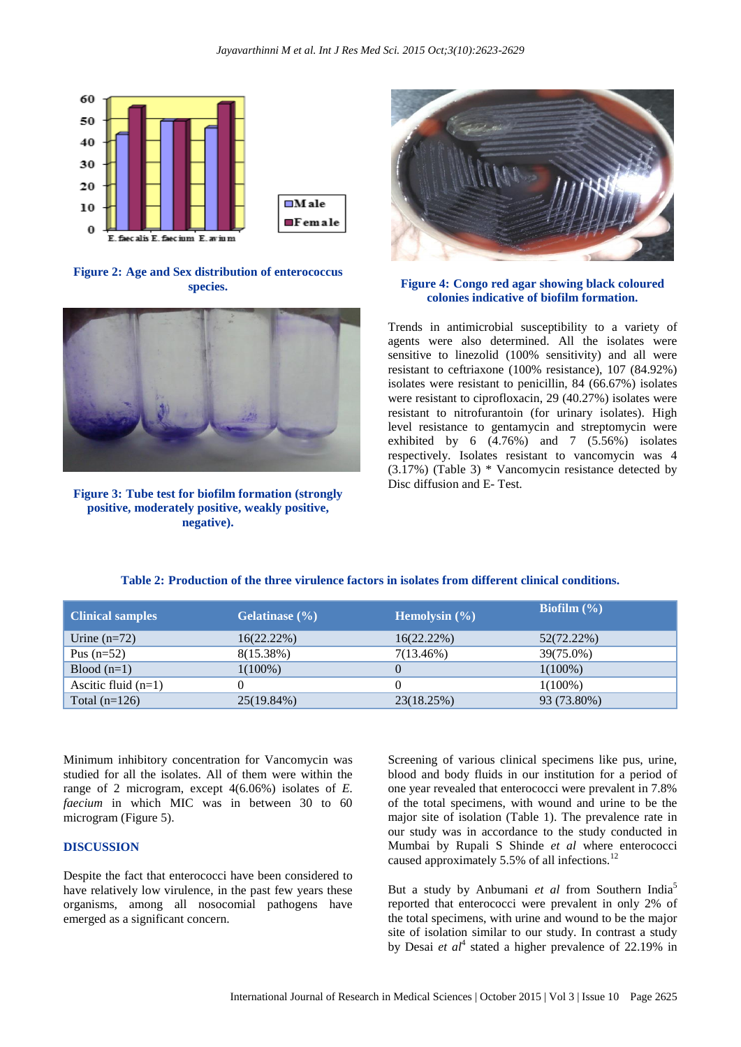

**Figure 2: Age and Sex distribution of enterococcus species.**



**Figure 3: Tube test for biofilm formation (strongly positive, moderately positive, weakly positive, negative).**



## **Figure 4: Congo red agar showing black coloured colonies indicative of biofilm formation.**

Trends in antimicrobial susceptibility to a variety of agents were also determined. All the isolates were sensitive to linezolid (100% sensitivity) and all were resistant to ceftriaxone (100% resistance), 107 (84.92%) isolates were resistant to penicillin, 84 (66.67%) isolates were resistant to ciprofloxacin, 29 (40.27%) isolates were resistant to nitrofurantoin (for urinary isolates). High level resistance to gentamycin and streptomycin were exhibited by 6 (4.76%) and 7 (5.56%) isolates respectively. Isolates resistant to vancomycin was 4 (3.17%) (Table 3) \* Vancomycin resistance detected by Disc diffusion and E- Test.

| <b>Clinical samples</b> | Gelatinase $(\% )$ | Hemolysin $(\% )$ | Biofilm $(\% )$ |
|-------------------------|--------------------|-------------------|-----------------|
| Urine $(n=72)$          | $16(22.22\%)$      | $16(22.22\%)$     | 52(72.22%)      |
| Pus $(n=52)$            | $8(15.38\%)$       | $7(13.46\%)$      | 39(75.0%)       |
| $Blood(n=1)$            | $1(100\%)$         |                   | $1(100\%)$      |
| Ascitic fluid $(n=1)$   |                    |                   | $1(100\%)$      |
| Total $(n=126)$         | 25(19.84%)         | 23(18.25%)        | 93 (73.80%)     |

**Table 2: Production of the three virulence factors in isolates from different clinical conditions.**

Minimum inhibitory concentration for Vancomycin was studied for all the isolates. All of them were within the range of 2 microgram, except 4(6.06%) isolates of *E. faecium* in which MIC was in between 30 to 60 microgram (Figure 5).

### **DISCUSSION**

Despite the fact that enterococci have been considered to have relatively low virulence, in the past few years these organisms, among all nosocomial pathogens have emerged as a significant concern.

Screening of various clinical specimens like pus, urine, blood and body fluids in our institution for a period of one year revealed that enterococci were prevalent in 7.8% of the total specimens, with wound and urine to be the major site of isolation (Table 1). The prevalence rate in our study was in accordance to the study conducted in Mumbai by Rupali S Shinde *et al* where enterococci caused approximately 5.5% of all infections.<sup>12</sup>

But a study by Anbumani *et al* from Southern India<sup>5</sup> reported that enterococci were prevalent in only 2% of the total specimens, with urine and wound to be the major site of isolation similar to our study. In contrast a study by Desai *et al*<sup>4</sup> stated a higher prevalence of 22.19% in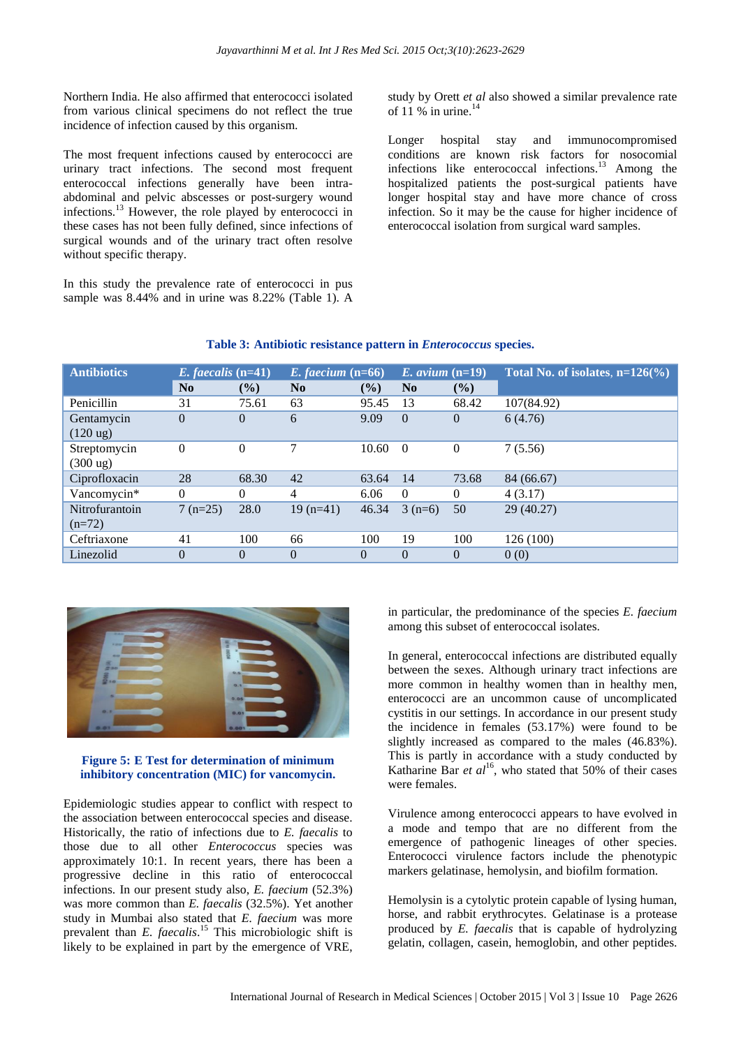Northern India. He also affirmed that enterococci isolated from various clinical specimens do not reflect the true incidence of infection caused by this organism.

The most frequent infections caused by enterococci are urinary tract infections. The second most frequent enterococcal infections generally have been intraabdominal and pelvic abscesses or post-surgery wound infections.<sup>13</sup> However, the role played by enterococci in these cases has not been fully defined, since infections of surgical wounds and of the urinary tract often resolve without specific therapy.

In this study the prevalence rate of enterococci in pus sample was 8.44% and in urine was 8.22% (Table 1). A study by Orett *et al* also showed a similar prevalence rate of 11 % in urine. $14$ 

Longer hospital stay and immunocompromised conditions are known risk factors for nosocomial infections like enterococcal infections.<sup>13</sup> Among the hospitalized patients the post-surgical patients have longer hospital stay and have more chance of cross infection. So it may be the cause for higher incidence of enterococcal isolation from surgical ward samples.

| <b>Antibiotics</b>                 | $E.$ faecalis (n=41) |          | E. faecium $(n=66)$ |          | E. avium $(n=19)$ |              | Total No. of isolates, $n=126\degree$ |
|------------------------------------|----------------------|----------|---------------------|----------|-------------------|--------------|---------------------------------------|
|                                    | $\bf No$             | $($ %)   | N <sub>0</sub>      | (%)      | N <sub>0</sub>    | (%)          |                                       |
| Penicillin                         | 31                   | 75.61    | 63                  | 95.45    | 13                | 68.42        | 107(84.92)                            |
| Gentamycin<br>$(120 \text{ ug})$   | $\theta$             | $\Omega$ | 6                   | 9.09     | $\theta$          | $\theta$     | 6(4.76)                               |
| Streptomycin<br>$(300 \text{ ug})$ | $\theta$             | $\Omega$ | 7                   | 10.60    | $\Omega$          | $\mathbf{0}$ | 7(5.56)                               |
| Ciprofloxacin                      | 28                   | 68.30    | 42                  | 63.64    | 14                | 73.68        | 84 (66.67)                            |
| Vancomycin*                        | $\Omega$             | $\Omega$ | $\overline{4}$      | 6.06     | $\Omega$          | $\theta$     | 4(3.17)                               |
| Nitrofurantoin<br>$(n=72)$         | $7(n=25)$            | 28.0     | $19(n=41)$          | 46.34    | $3(n=6)$          | 50           | 29(40.27)                             |
| Ceftriaxone                        | 41                   | 100      | 66                  | 100      | 19                | 100          | 126 (100)                             |
| Linezolid                          | $\overline{0}$       | $\theta$ | $\theta$            | $\theta$ | $\theta$          | $\theta$     | 0(0)                                  |

## **Table 3: Antibiotic resistance pattern in** *Enterococcus* **species.**



**Figure 5: E Test for determination of minimum inhibitory concentration (MIC) for vancomycin.**

Epidemiologic studies appear to conflict with respect to the association between enterococcal species and disease. Historically, the ratio of infections due to *E. faecalis* to those due to all other *Enterococcus* species was approximately 10:1. In recent years, there has been a progressive decline in this ratio of enterococcal infections. In our present study also, *E. faecium* (52.3%) was more common than *E. faecalis* (32.5%). Yet another study in Mumbai also stated that *E. faecium* was more prevalent than *E. faecalis*. <sup>15</sup> This microbiologic shift is likely to be explained in part by the emergence of VRE, in particular, the predominance of the species *E. faecium* among this subset of enterococcal isolates.

In general, enterococcal infections are distributed equally between the sexes. Although urinary tract infections are more common in healthy women than in healthy men, enterococci are an uncommon cause of uncomplicated cystitis in our settings. In accordance in our present study the incidence in females (53.17%) were found to be slightly increased as compared to the males (46.83%). This is partly in accordance with a study conducted by Katharine Bar  $et al^{16}$ , who stated that 50% of their cases were females.

Virulence among enterococci appears to have evolved in a mode and tempo that are no different from the emergence of pathogenic lineages of other species. Enterococci virulence factors include the phenotypic markers gelatinase, hemolysin, and biofilm formation.

Hemolysin is a cytolytic protein capable of lysing human, horse, and rabbit erythrocytes. Gelatinase is a protease produced by *E. faecalis* that is capable of hydrolyzing gelatin, collagen, casein, hemoglobin, and other peptides.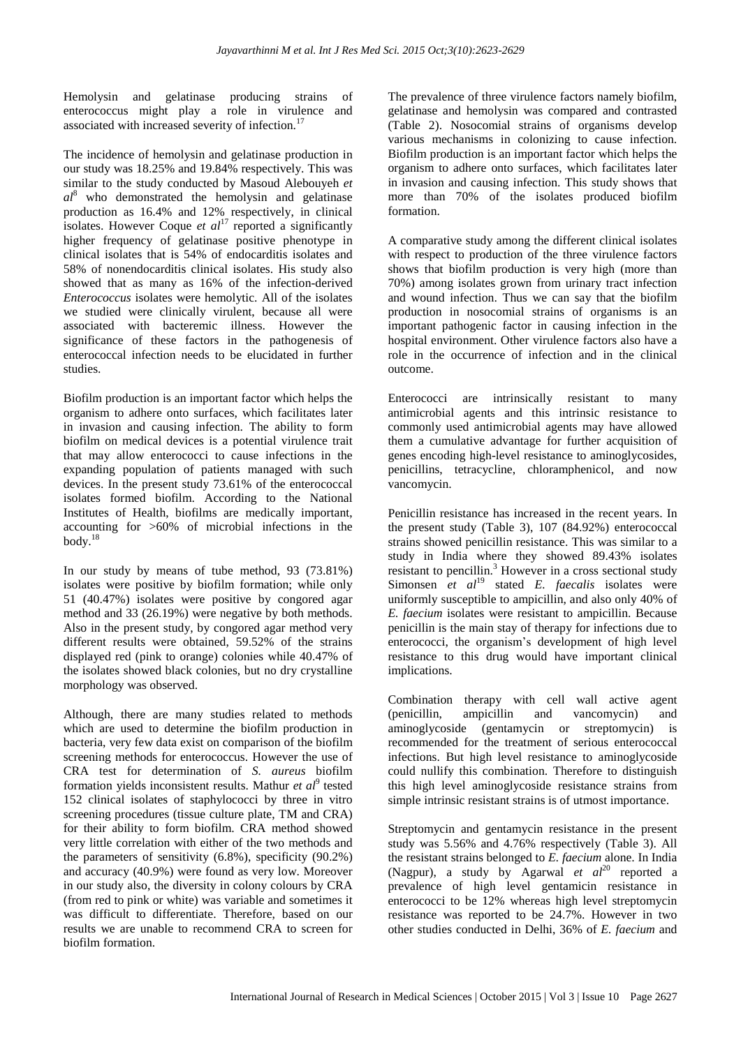Hemolysin and gelatinase producing strains of enterococcus might play a role in virulence and associated with increased severity of infection.<sup>17</sup>

The incidence of hemolysin and gelatinase production in our study was 18.25% and 19.84% respectively. This was similar to the study conducted by Masoud Alebouyeh *et al*<sup>8</sup> who demonstrated the hemolysin and gelatinase production as 16.4% and 12% respectively, in clinical isolates. However Coque *et al*<sup>17</sup> reported a significantly higher frequency of gelatinase positive phenotype in clinical isolates that is 54% of endocarditis isolates and 58% of nonendocarditis clinical isolates. His study also showed that as many as 16% of the infection-derived *Enterococcus* isolates were hemolytic. All of the isolates we studied were clinically virulent, because all were associated with bacteremic illness. However the significance of these factors in the pathogenesis of enterococcal infection needs to be elucidated in further studies.

Biofilm production is an important factor which helps the organism to adhere onto surfaces, which facilitates later in invasion and causing infection. The ability to form biofilm on medical devices is a potential virulence trait that may allow enterococci to cause infections in the expanding population of patients managed with such devices. In the present study 73.61% of the enterococcal isolates formed biofilm. According to the National Institutes of Health, biofilms are medically important, accounting for >60% of microbial infections in the  $body.<sup>18</sup>$ 

In our study by means of tube method, 93 (73.81%) isolates were positive by biofilm formation; while only 51 (40.47%) isolates were positive by congored agar method and 33 (26.19%) were negative by both methods. Also in the present study, by congored agar method very different results were obtained, 59.52% of the strains displayed red (pink to orange) colonies while 40.47% of the isolates showed black colonies, but no dry crystalline morphology was observed.

Although, there are many studies related to methods which are used to determine the biofilm production in bacteria, very few data exist on comparison of the biofilm screening methods for enterococcus. However the use of CRA test for determination of *S. aureus* biofilm formation yields inconsistent results. Mathur *et al*<sup>9</sup> tested 152 clinical isolates of staphylococci by three in vitro screening procedures (tissue culture plate, TM and CRA) for their ability to form biofilm. CRA method showed very little correlation with either of the two methods and the parameters of sensitivity (6.8%), specificity (90.2%) and accuracy (40.9%) were found as very low. Moreover in our study also, the diversity in colony colours by CRA (from red to pink or white) was variable and sometimes it was difficult to differentiate. Therefore, based on our results we are unable to recommend CRA to screen for biofilm formation.

The prevalence of three virulence factors namely biofilm, gelatinase and hemolysin was compared and contrasted (Table 2). Nosocomial strains of organisms develop various mechanisms in colonizing to cause infection. Biofilm production is an important factor which helps the organism to adhere onto surfaces, which facilitates later in invasion and causing infection. This study shows that more than 70% of the isolates produced biofilm formation.

A comparative study among the different clinical isolates with respect to production of the three virulence factors shows that biofilm production is very high (more than 70%) among isolates grown from urinary tract infection and wound infection. Thus we can say that the biofilm production in nosocomial strains of organisms is an important pathogenic factor in causing infection in the hospital environment. Other virulence factors also have a role in the occurrence of infection and in the clinical outcome.

Enterococci are intrinsically resistant to many antimicrobial agents and this intrinsic resistance to commonly used antimicrobial agents may have allowed them a cumulative advantage for further acquisition of genes encoding high-level resistance to aminoglycosides, penicillins, tetracycline, chloramphenicol, and now vancomycin.

Penicillin resistance has increased in the recent years. In the present study (Table 3), 107 (84.92%) enterococcal strains showed penicillin resistance. This was similar to a study in India where they showed 89.43% isolates resistant to pencillin.<sup>3</sup> However in a cross sectional study Simonsen *et al*<sup>19</sup> stated *E. faecalis* isolates were uniformly susceptible to ampicillin, and also only 40% of *E. faecium* isolates were resistant to ampicillin. Because penicillin is the main stay of therapy for infections due to enterococci, the organism's development of high level resistance to this drug would have important clinical implications.

Combination therapy with cell wall active agent (penicillin, ampicillin and vancomycin) and aminoglycoside (gentamycin or streptomycin) is recommended for the treatment of serious enterococcal infections. But high level resistance to aminoglycoside could nullify this combination. Therefore to distinguish this high level aminoglycoside resistance strains from simple intrinsic resistant strains is of utmost importance.

Streptomycin and gentamycin resistance in the present study was 5.56% and 4.76% respectively (Table 3). All the resistant strains belonged to *E. faecium* alone. In India (Nagpur), a study by Agarwal *et al*<sup>20</sup> reported a prevalence of high level gentamicin resistance in enterococci to be 12% whereas high level streptomycin resistance was reported to be 24.7%. However in two other studies conducted in Delhi, 36% of *E. faecium* and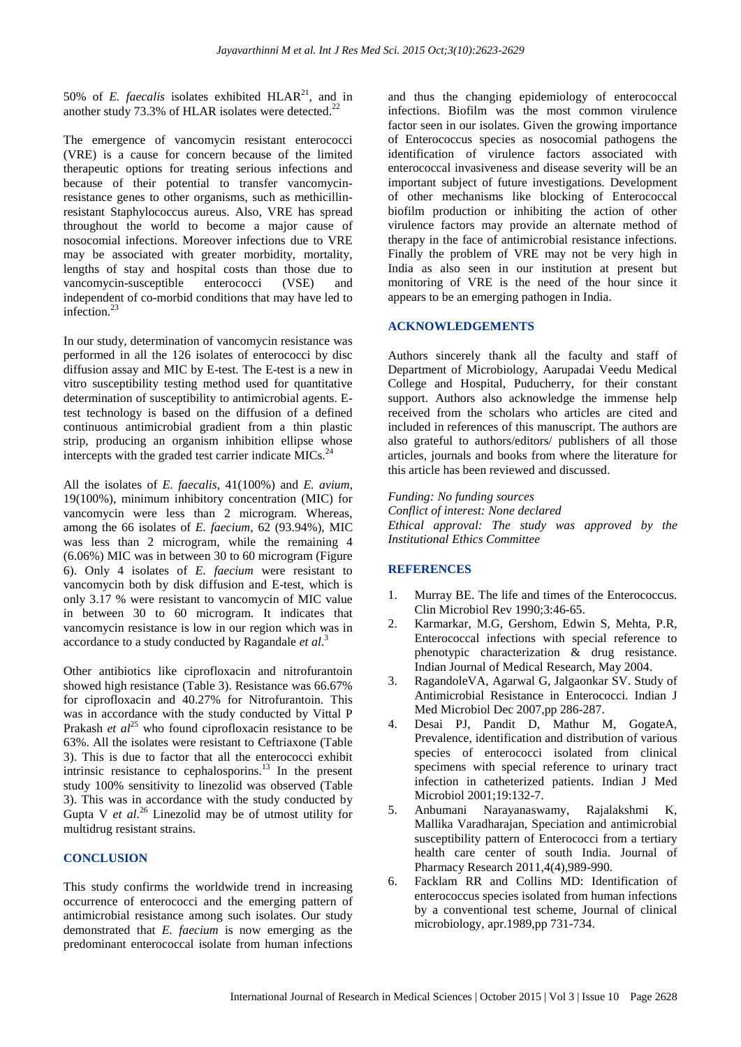50% of *E. faecalis* isolates exhibited  $HLAR<sup>21</sup>$ , and in another study 73.3% of HLAR isolates were detected.<sup>22</sup>

The emergence of vancomycin resistant enterococci (VRE) is a cause for concern because of the limited therapeutic options for treating serious infections and because of their potential to transfer vancomycinresistance genes to other organisms, such as methicillinresistant Staphylococcus aureus. Also, VRE has spread throughout the world to become a major cause of nosocomial infections. Moreover infections due to VRE may be associated with greater morbidity, mortality, lengths of stay and hospital costs than those due to vancomycin-susceptible enterococci (VSE) and independent of co-morbid conditions that may have led to infection $^{23}$ 

In our study, determination of vancomycin resistance was performed in all the 126 isolates of enterococci by disc diffusion assay and MIC by E-test. The E-test is a new in vitro susceptibility testing method used for quantitative determination of susceptibility to antimicrobial agents. Etest technology is based on the diffusion of a defined continuous antimicrobial gradient from a thin plastic strip, producing an organism inhibition ellipse whose intercepts with the graded test carrier indicate MICs. $^{24}$ 

All the isolates of *E. faecalis*, 41(100%) and *E. avium*, 19(100%), minimum inhibitory concentration (MIC) for vancomycin were less than 2 microgram. Whereas, among the 66 isolates of *E. faecium*, 62 (93.94%), MIC was less than 2 microgram, while the remaining 4 (6.06%) MIC was in between 30 to 60 microgram (Figure 6). Only 4 isolates of *E. faecium* were resistant to vancomycin both by disk diffusion and E-test, which is only 3.17 % were resistant to vancomycin of MIC value in between 30 to 60 microgram. It indicates that vancomycin resistance is low in our region which was in accordance to a study conducted by Ragandale *et al*. 3

Other antibiotics like ciprofloxacin and nitrofurantoin showed high resistance (Table 3). Resistance was 66.67% for ciprofloxacin and 40.27% for Nitrofurantoin. This was in accordance with the study conducted by Vittal P Prakash *et al*<sup>25</sup> who found ciprofloxacin resistance to be 63%. All the isolates were resistant to Ceftriaxone (Table 3). This is due to factor that all the enterococci exhibit intrinsic resistance to cephalosporins.<sup>13</sup> In the present study 100% sensitivity to linezolid was observed (Table 3). This was in accordance with the study conducted by Gupta V *et al*. <sup>26</sup> Linezolid may be of utmost utility for multidrug resistant strains.

## **CONCLUSION**

This study confirms the worldwide trend in increasing occurrence of enterococci and the emerging pattern of antimicrobial resistance among such isolates. Our study demonstrated that *E. faecium* is now emerging as the predominant enterococcal isolate from human infections and thus the changing epidemiology of enterococcal infections. Biofilm was the most common virulence factor seen in our isolates. Given the growing importance of Enterococcus species as nosocomial pathogens the identification of virulence factors associated with enterococcal invasiveness and disease severity will be an important subject of future investigations. Development of other mechanisms like blocking of Enterococcal biofilm production or inhibiting the action of other virulence factors may provide an alternate method of therapy in the face of antimicrobial resistance infections. Finally the problem of VRE may not be very high in India as also seen in our institution at present but monitoring of VRE is the need of the hour since it appears to be an emerging pathogen in India.

### **ACKNOWLEDGEMENTS**

Authors sincerely thank all the faculty and staff of Department of Microbiology, Aarupadai Veedu Medical College and Hospital, Puducherry, for their constant support. Authors also acknowledge the immense help received from the scholars who articles are cited and included in references of this manuscript. The authors are also grateful to authors/editors/ publishers of all those articles, journals and books from where the literature for this article has been reviewed and discussed.

### *Funding: No funding sources*

*Conflict of interest: None declared Ethical approval: The study was approved by the Institutional Ethics Committee*

## **REFERENCES**

- 1. Murray BE. The life and times of the Enterococcus. Clin Microbiol Rev 1990;3:46-65.
- 2. Karmarkar, M.G, Gershom, Edwin S, Mehta, P.R, Enterococcal infections with special reference to phenotypic characterization & drug resistance. Indian Journal of Medical Research, May 2004.
- 3. RagandoleVA, Agarwal G, Jalgaonkar SV. Study of Antimicrobial Resistance in Enterococci. Indian J Med Microbiol Dec 2007,pp 286-287.
- 4. Desai PJ, Pandit D, Mathur M, GogateA, Prevalence, identification and distribution of various species of enterococci isolated from clinical specimens with special reference to urinary tract infection in catheterized patients. Indian J Med Microbiol 2001;19:132-7.
- 5. Anbumani Narayanaswamy, Rajalakshmi K, Mallika Varadharajan, Speciation and antimicrobial susceptibility pattern of Enterococci from a tertiary health care center of south India. Journal of Pharmacy Research 2011,4(4),989-990.
- 6. Facklam RR and Collins MD: Identification of enterococcus species isolated from human infections by a conventional test scheme, Journal of clinical microbiology, apr.1989,pp 731-734.